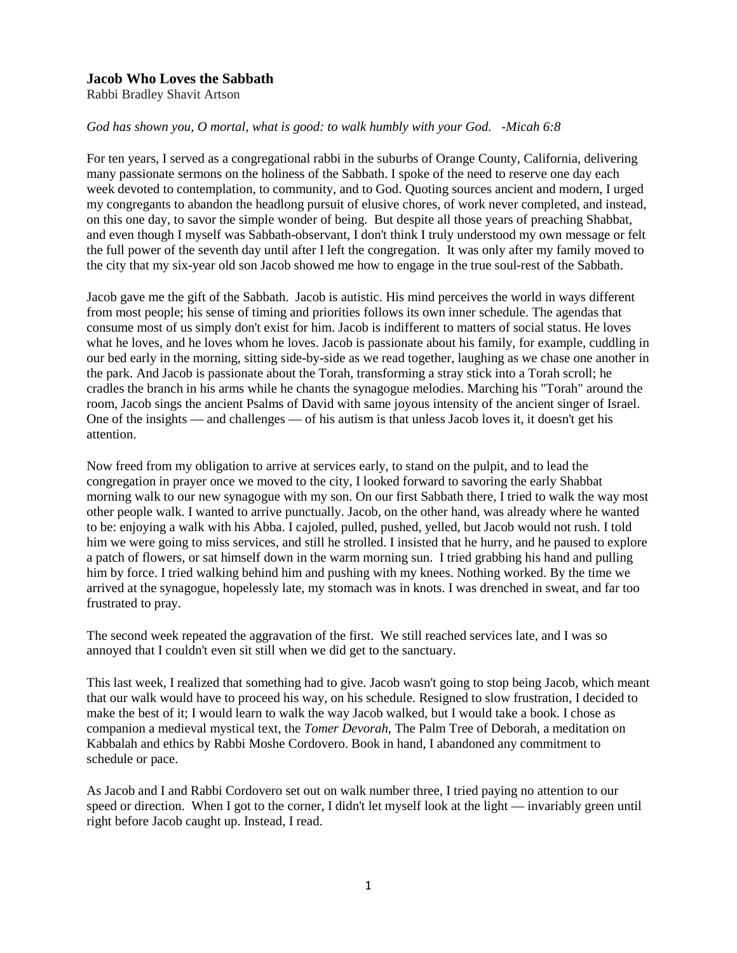## **Jacob Who Loves the Sabbath**

Rabbi Bradley Shavit Artson

## *God has shown you, O mortal, what is good: to walk humbly with your God. -Micah 6:8*

For ten years, I served as a congregational rabbi in the suburbs of Orange County, California, delivering many passionate sermons on the holiness of the Sabbath. I spoke of the need to reserve one day each week devoted to contemplation, to community, and to God. Quoting sources ancient and modern, I urged my congregants to abandon the headlong pursuit of elusive chores, of work never completed, and instead, on this one day, to savor the simple wonder of being. But despite all those years of preaching Shabbat, and even though I myself was Sabbath-observant, I don't think I truly understood my own message or felt the full power of the seventh day until after I left the congregation. It was only after my family moved to the city that my six-year old son Jacob showed me how to engage in the true soul-rest of the Sabbath.

Jacob gave me the gift of the Sabbath. Jacob is autistic. His mind perceives the world in ways different from most people; his sense of timing and priorities follows its own inner schedule. The agendas that consume most of us simply don't exist for him. Jacob is indifferent to matters of social status. He loves what he loves, and he loves whom he loves. Jacob is passionate about his family, for example, cuddling in our bed early in the morning, sitting side-by-side as we read together, laughing as we chase one another in the park. And Jacob is passionate about the Torah, transforming a stray stick into a Torah scroll; he cradles the branch in his arms while he chants the synagogue melodies. Marching his "Torah" around the room, Jacob sings the ancient Psalms of David with same joyous intensity of the ancient singer of Israel. One of the insights — and challenges — of his autism is that unless Jacob loves it, it doesn't get his attention.

Now freed from my obligation to arrive at services early, to stand on the pulpit, and to lead the congregation in prayer once we moved to the city, I looked forward to savoring the early Shabbat morning walk to our new synagogue with my son. On our first Sabbath there, I tried to walk the way most other people walk. I wanted to arrive punctually. Jacob, on the other hand, was already where he wanted to be: enjoying a walk with his Abba. I cajoled, pulled, pushed, yelled, but Jacob would not rush. I told him we were going to miss services, and still he strolled. I insisted that he hurry, and he paused to explore a patch of flowers, or sat himself down in the warm morning sun. I tried grabbing his hand and pulling him by force. I tried walking behind him and pushing with my knees. Nothing worked. By the time we arrived at the synagogue, hopelessly late, my stomach was in knots. I was drenched in sweat, and far too frustrated to pray.

The second week repeated the aggravation of the first. We still reached services late, and I was so annoyed that I couldn't even sit still when we did get to the sanctuary.

This last week, I realized that something had to give. Jacob wasn't going to stop being Jacob, which meant that our walk would have to proceed his way, on his schedule. Resigned to slow frustration, I decided to make the best of it; I would learn to walk the way Jacob walked, but I would take a book. I chose as companion a medieval mystical text, the *Tomer Devorah*, The Palm Tree of Deborah, a meditation on Kabbalah and ethics by Rabbi Moshe Cordovero. Book in hand, I abandoned any commitment to schedule or pace.

As Jacob and I and Rabbi Cordovero set out on walk number three, I tried paying no attention to our speed or direction. When I got to the corner, I didn't let myself look at the light — invariably green until right before Jacob caught up. Instead, I read.